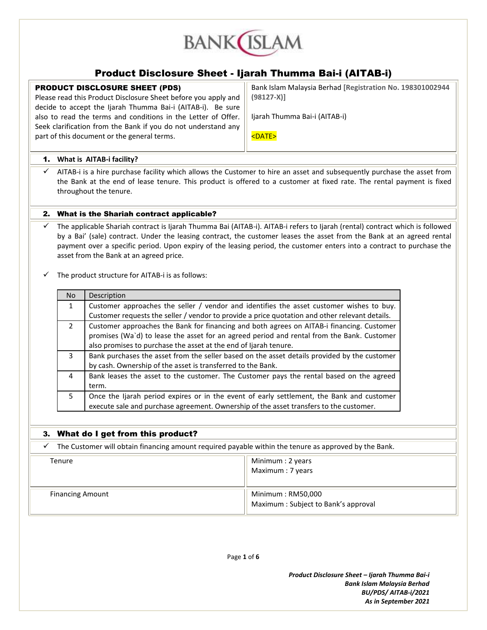

## Product Disclosure Sheet - Ijarah Thumma Bai-i (AITAB-i)

## PRODUCT DISCLOSURE SHEET (PDS)

Please read this Product Disclosure Sheet before you apply and decide to accept the Ijarah Thumma Bai-i (AITAB-i). Be sure also to read the terms and conditions in the Letter of Offer. Seek clarification from the Bank if you do not understand any part of this document or the general terms.

Bank Islam Malaysia Berhad **[Registration No. 198301002944 (98127-X)]**

Ijarah Thumma Bai-i (AITAB-i)

<DATE>

## 1. **What is AITAB-i facility?**

 AITAB-i is a hire purchase facility which allows the Customer to hire an asset and subsequently purchase the asset from the Bank at the end of lease tenure. This product is offered to a customer at fixed rate. The rental payment is fixed throughout the tenure.

## 2. What is the Shariah contract applicable?

 The applicable Shariah contract is Ijarah Thumma Bai (AITAB-i). AITAB-i refers to Ijarah (rental) contract which is followed by a Bai' (sale) contract. Under the leasing contract, the customer leases the asset from the Bank at an agreed rental payment over a specific period. Upon expiry of the leasing period, the customer enters into a contract to purchase the asset from the Bank at an agreed price.

The product structure for AITAB-i is as follows:

| No.           | Description                                                                                    |
|---------------|------------------------------------------------------------------------------------------------|
| $\mathbf{1}$  | Customer approaches the seller / vendor and identifies the asset customer wishes to buy.       |
|               | Customer requests the seller / vendor to provide a price quotation and other relevant details. |
| $\mathcal{P}$ | Customer approaches the Bank for financing and both agrees on AITAB-i financing. Customer      |
|               | promises (Wa'd) to lease the asset for an agreed period and rental from the Bank. Customer     |
|               | also promises to purchase the asset at the end of Ijarah tenure.                               |
| 3             | Bank purchases the asset from the seller based on the asset details provided by the customer   |
|               | by cash. Ownership of the asset is transferred to the Bank.                                    |
| 4             | Bank leases the asset to the customer. The Customer pays the rental based on the agreed        |
|               | term.                                                                                          |
| 5.            | Once the Ijarah period expires or in the event of early settlement, the Bank and customer      |
|               | execute sale and purchase agreement. Ownership of the asset transfers to the customer.         |

## 3. What do I get from this product?

 $\checkmark$  The Customer will obtain financing amount required payable within the tenure as approved by the Bank.

| Tenure                  | Minimum : 2 years<br>Maximum: 7 years                    |
|-------------------------|----------------------------------------------------------|
| <b>Financing Amount</b> | Minimum: RM50,000<br>Maximum: Subject to Bank's approval |

Page **1** of **6**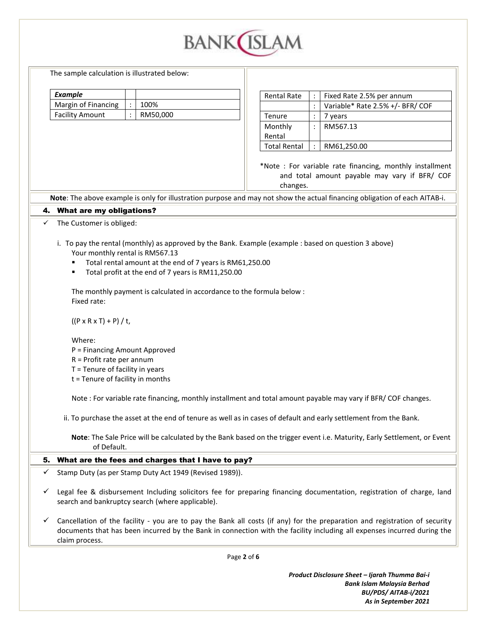

The sample calculation is illustrated below:

| Example                |          |
|------------------------|----------|
| Margin of Financing    | 100%     |
| <b>Facility Amount</b> | RM50,000 |

| <b>Rental Rate</b>  |  | Fixed Rate 2.5% per annum        |
|---------------------|--|----------------------------------|
|                     |  | Variable* Rate 2.5% +/- BFR/ COF |
| Tenure              |  | vears                            |
| Monthly             |  | RM567.13                         |
| Rental              |  |                                  |
| <b>Total Rental</b> |  | RM61,250.00                      |

\*Note : For variable rate financing, monthly installment and total amount payable may vary if BFR/ COF changes.

**Note**: The above example is only for illustration purpose and may not show the actual financing obligation of each AITAB-i.

4. What are my obligations?

 $\checkmark$  The Customer is obliged:

- i. To pay the rental (monthly) as approved by the Bank. Example (example : based on question 3 above) Your monthly rental is RM567.13
	- Total rental amount at the end of 7 years is RM61,250.00
	- Total profit at the end of 7 years is RM11,250.00

The monthly payment is calculated in accordance to the formula below : Fixed rate:

 $((P \times R \times T) + P) / t$ ,

Where:

- P = Financing Amount Approved
- R = Profit rate per annum
- T = Tenure of facility in years
- t = Tenure of facility in months

Note : For variable rate financing, monthly installment and total amount payable may vary if BFR/ COF changes.

ii. To purchase the asset at the end of tenure as well as in cases of default and early settlement from the Bank.

**Note**: The Sale Price will be calculated by the Bank based on the trigger event i.e. Maturity, Early Settlement, or Event of Default.

## 5. What are the fees and charges that I have to pay?

- $\checkmark$  Stamp Duty (as per Stamp Duty Act 1949 (Revised 1989)).
- $\checkmark$  Legal fee & disbursement Including solicitors fee for preparing financing documentation, registration of charge, land search and bankruptcy search (where applicable).
- $\checkmark$  Cancellation of the facility you are to pay the Bank all costs (if any) for the preparation and registration of security documents that has been incurred by the Bank in connection with the facility including all expenses incurred during the claim process.

Page **2** of **6**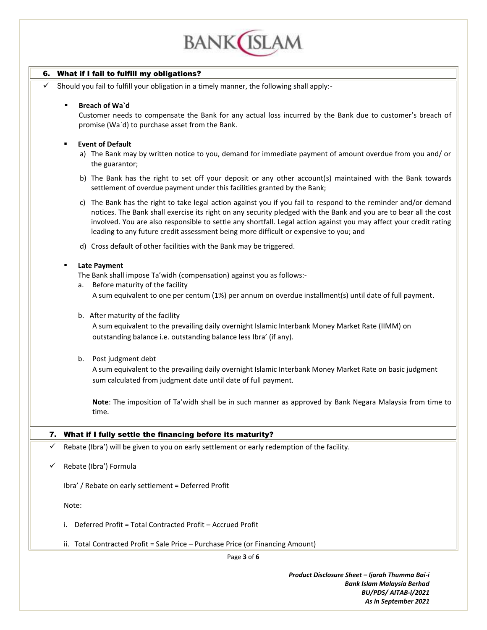

## 6. What if I fail to fulfill my obligations?

Should you fail to fulfill your obligation in a timely manner, the following shall apply:-

## **Breach of Wa`d**

Customer needs to compensate the Bank for any actual loss incurred by the Bank due to customer's breach of promise (Wa`d) to purchase asset from the Bank.

## **Event of Default**

- a) The Bank may by written notice to you, demand for immediate payment of amount overdue from you and/ or the guarantor;
- b) The Bank has the right to set off your deposit or any other account(s) maintained with the Bank towards settlement of overdue payment under this facilities granted by the Bank;
- c) The Bank has the right to take legal action against you if you fail to respond to the reminder and/or demand notices. The Bank shall exercise its right on any security pledged with the Bank and you are to bear all the cost involved. You are also responsible to settle any shortfall. Legal action against you may affect your credit rating leading to any future credit assessment being more difficult or expensive to you; and
- d) Cross default of other facilities with the Bank may be triggered.

## **Late Payment**

- The Bank shall impose Ta'widh (compensation) against you as follows:-
- a. Before maturity of the facility
	- A sum equivalent to one per centum (1%) per annum on overdue installment(s) until date of full payment.
- b. After maturity of the facility

A sum equivalent to the prevailing daily overnight Islamic Interbank Money Market Rate (IIMM) on outstanding balance i.e. outstanding balance less Ibra' (if any).

b. Post judgment debt

A sum equivalent to the prevailing daily overnight Islamic Interbank Money Market Rate on basic judgment sum calculated from judgment date until date of full payment.

**Note**: The imposition of Ta'widh shall be in such manner as approved by Bank Negara Malaysia from time to time.

### 7. What if I fully settle the financing before its maturity?

- Rebate (Ibra') will be given to you on early settlement or early redemption of the facility.
- Rebate (Ibra') Formula

Ibra' / Rebate on early settlement = Deferred Profit

Note:

- i. Deferred Profit = Total Contracted Profit Accrued Profit
- ii. Total Contracted Profit = Sale Price Purchase Price (or Financing Amount)

Page **3** of **6**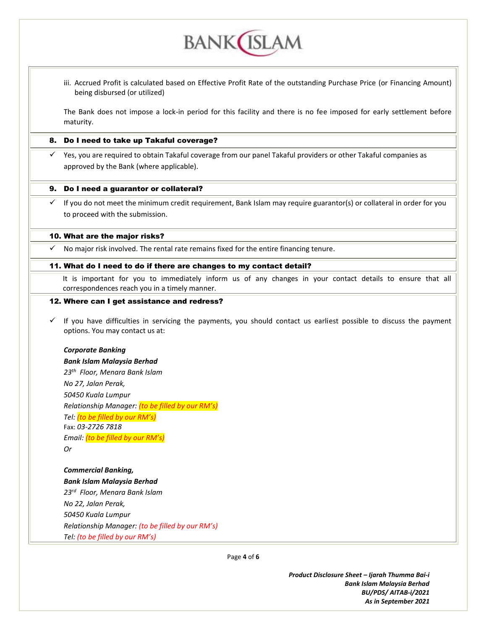

**BANK**(ISLAM

The Bank does not impose a lock-in period for this facility and there is no fee imposed for early settlement before maturity.

#### 8. Do I need to take up Takaful coverage?

 $\checkmark$  Yes, you are required to obtain Takaful coverage from our panel Takaful providers or other Takaful companies as approved by the Bank (where applicable).

#### 9. Do I need a guarantor or collateral?

 $\checkmark$  If you do not meet the minimum credit requirement, Bank Islam may require guarantor(s) or collateral in order for you to proceed with the submission.

#### 10. What are the major risks?

 $\checkmark$  No major risk involved. The rental rate remains fixed for the entire financing tenure.

#### 11. What do I need to do if there are changes to my contact detail?

It is important for you to immediately inform us of any changes in your contact details to ensure that all correspondences reach you in a timely manner.

## 12. Where can I get assistance and redress?

 If you have difficulties in servicing the payments, you should contact us earliest possible to discuss the payment options. You may contact us at:

#### *Corporate Banking*

*Bank Islam Malaysia Berhad 23th Floor, Menara Bank Islam No 27, Jalan Perak, 50450 Kuala Lumpur Relationship Manager: (to be filled by our RM's) Tel: (to be filled by our RM's)* Fax: *03-2726 7818 Email: (to be filled by our RM's) Or*

*Commercial Banking, Bank Islam Malaysia Berhad 23rd Floor, Menara Bank Islam No 22, Jalan Perak, 50450 Kuala Lumpur Relationship Manager: (to be filled by our RM's) Tel: (to be filled by our RM's)*

Page **4** of **6**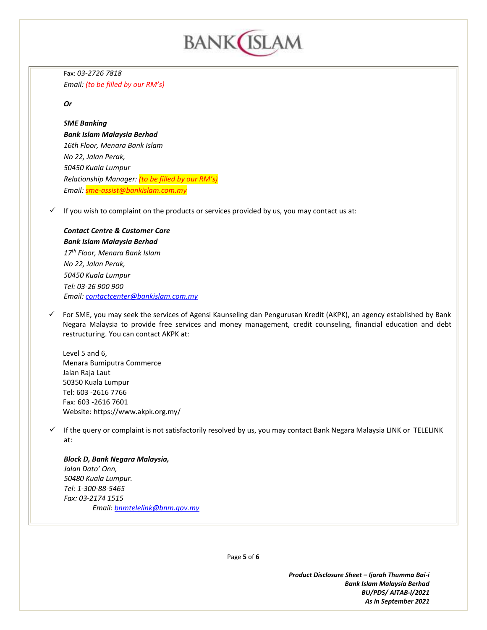

Fax: *03-2726 7818 Email: (to be filled by our RM's)*

## *Or*

## *SME Banking*

*Bank Islam Malaysia Berhad 16th Floor, Menara Bank Islam No 22, Jalan Perak, 50450 Kuala Lumpur Relationship Manager: (to be filled by our RM's) Email: sme-assist@bankislam.com.my*

 $\checkmark$  If you wish to complaint on the products or services provided by us, you may contact us at:

# *Contact Centre & Customer Care*

*Bank Islam Malaysia Berhad 17th Floor, Menara Bank Islam No 22, Jalan Perak, 50450 Kuala Lumpur Tel: 03-26 900 900 Email: [contactcenter@bankislam.com.my](mailto:contactcenter@bankislam.com.my)*

 $\checkmark$  For SME, you may seek the services of Agensi Kaunseling dan Pengurusan Kredit (AKPK), an agency established by Bank Negara Malaysia to provide free services and money management, credit counseling, financial education and debt restructuring. You can contact AKPK at:

Level 5 and 6, Menara Bumiputra Commerce Jalan Raja Laut 50350 Kuala Lumpur Tel: 603 -2616 7766 Fax: 603 -2616 7601 Website: https://www.akpk.org.my/

 $\checkmark$  If the query or complaint is not satisfactorily resolved by us, you may contact Bank Negara Malaysia LINK or TELELINK at:

## *Block D, Bank Negara Malaysia, Jalan Dato' Onn, 50480 Kuala Lumpur. Tel: 1-300-88-5465 Fax: 03-2174 1515 Email: [bnmtelelink@bnm.gov.my](mailto:bnmtelelink@bnm.gov.my)*

Page **5** of **6**